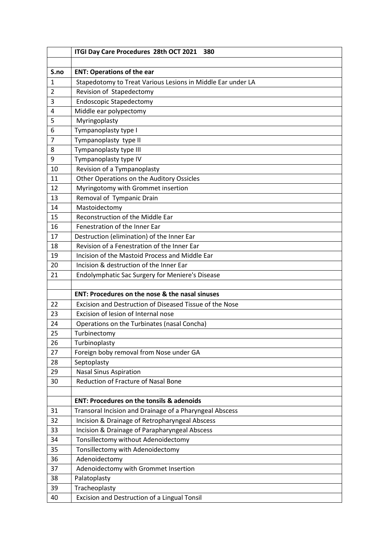|      | ITGI Day Care Procedures 28th OCT 2021<br>380               |
|------|-------------------------------------------------------------|
|      |                                                             |
| S.no | <b>ENT: Operations of the ear</b>                           |
| 1    | Stapedotomy to Treat Various Lesions in Middle Ear under LA |
| 2    | Revision of Stapedectomy                                    |
| 3    | <b>Endoscopic Stapedectomy</b>                              |
| 4    | Middle ear polypectomy                                      |
| 5    | Myringoplasty                                               |
| 6    | Tympanoplasty type I                                        |
| 7    | Tympanoplasty type II                                       |
| 8    | Tympanoplasty type III                                      |
| 9    | Tympanoplasty type IV                                       |
| 10   | Revision of a Tympanoplasty                                 |
| 11   | Other Operations on the Auditory Ossicles                   |
| 12   | Myringotomy with Grommet insertion                          |
| 13   | Removal of Tympanic Drain                                   |
| 14   | Mastoidectomy                                               |
| 15   | Reconstruction of the Middle Ear                            |
| 16   | Fenestration of the Inner Ear                               |
| 17   | Destruction (elimination) of the Inner Ear                  |
| 18   | Revision of a Fenestration of the Inner Ear                 |
| 19   | Incision of the Mastoid Process and Middle Ear              |
| 20   | Incision & destruction of the Inner Ear                     |
| 21   | <b>Endolymphatic Sac Surgery for Meniere's Disease</b>      |
|      |                                                             |
|      | ENT: Procedures on the nose & the nasal sinuses             |
| 22   | Excision and Destruction of Diseased Tissue of the Nose     |
| 23   | Excision of lesion of Internal nose                         |
| 24   | Operations on the Turbinates (nasal Concha)                 |
| 25   | Turbinectomy                                                |
| 26   | Turbinoplasty                                               |
| 27   | Foreign boby removal from Nose under GA                     |
| 28   | Septoplasty                                                 |
| 29   | <b>Nasal Sinus Aspiration</b>                               |
| 30   | Reduction of Fracture of Nasal Bone                         |
|      |                                                             |
|      | <b>ENT: Procedures on the tonsils &amp; adenoids</b>        |
| 31   | Transoral Incision and Drainage of a Pharyngeal Abscess     |
| 32   | Incision & Drainage of Retropharyngeal Abscess              |
| 33   | Incision & Drainage of Parapharyngeal Abscess               |
| 34   | Tonsillectomy without Adenoidectomy                         |
| 35   | Tonsillectomy with Adenoidectomy                            |
| 36   | Adenoidectomy                                               |
| 37   | Adenoidectomy with Grommet Insertion                        |
| 38   | Palatoplasty                                                |
| 39   | Tracheoplasty                                               |
| 40   | Excision and Destruction of a Lingual Tonsil                |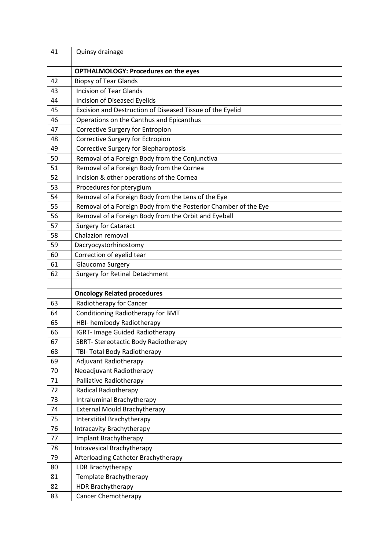| 41       | Quinsy drainage                                                 |
|----------|-----------------------------------------------------------------|
|          |                                                                 |
|          | <b>OPTHALMOLOGY: Procedures on the eyes</b>                     |
| 42       | <b>Biopsy of Tear Glands</b>                                    |
| 43       | <b>Incision of Tear Glands</b>                                  |
| 44       | Incision of Diseased Eyelids                                    |
| 45       | Excision and Destruction of Diseased Tissue of the Eyelid       |
| 46       | Operations on the Canthus and Epicanthus                        |
| 47       | Corrective Surgery for Entropion                                |
| 48       | Corrective Surgery for Ectropion                                |
| 49       | Corrective Surgery for Blepharoptosis                           |
| 50       | Removal of a Foreign Body from the Conjunctiva                  |
| 51       | Removal of a Foreign Body from the Cornea                       |
| 52       | Incision & other operations of the Cornea                       |
| 53       | Procedures for pterygium                                        |
| 54       | Removal of a Foreign Body from the Lens of the Eye              |
| 55       | Removal of a Foreign Body from the Posterior Chamber of the Eye |
| 56       | Removal of a Foreign Body from the Orbit and Eyeball            |
| 57       | <b>Surgery for Cataract</b>                                     |
| 58       | Chalazion removal                                               |
| 59       | Dacryocystorhinostomy                                           |
| 60       | Correction of eyelid tear                                       |
| 61       | Glaucoma Surgery                                                |
| 62       | <b>Surgery for Retinal Detachment</b>                           |
|          |                                                                 |
|          | <b>Oncology Related procedures</b>                              |
| 63       | Radiotherapy for Cancer                                         |
| 64       | Conditioning Radiotherapy for BMT                               |
| 65       | HBI- hemibody Radiotherapy                                      |
| 66       | <b>IGRT- Image Guided Radiotherapy</b>                          |
| 67       | SBRT- Stereotactic Body Radiotherapy                            |
| 68       | TBI- Total Body Radiotherapy                                    |
| 69       | <b>Adjuvant Radiotherapy</b>                                    |
| 70<br>71 | Neoadjuvant Radiotherapy                                        |
| 72       | Palliative Radiotherapy                                         |
| 73       | Radical Radiotherapy<br>Intraluminal Brachytherapy              |
| 74       | <b>External Mould Brachytherapy</b>                             |
| 75       | Interstitial Brachytherapy                                      |
| 76       | Intracavity Brachytherapy                                       |
| 77       | Implant Brachytherapy                                           |
| 78       | Intravesical Brachytherapy                                      |
| 79       | Afterloading Catheter Brachytherapy                             |
| 80       | LDR Brachytherapy                                               |
| 81       | Template Brachytherapy                                          |
| 82       | <b>HDR Brachytherapy</b>                                        |
| 83       | Cancer Chemotherapy                                             |
|          |                                                                 |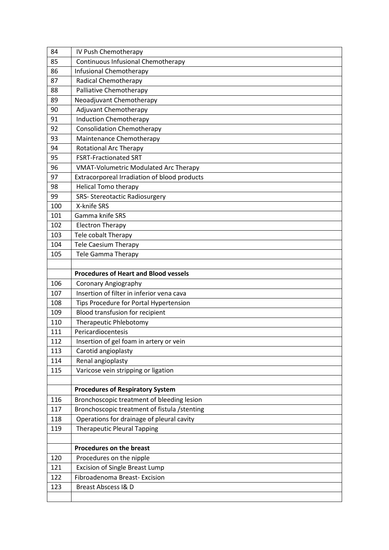| 84  | IV Push Chemotherapy                          |
|-----|-----------------------------------------------|
| 85  | Continuous Infusional Chemotherapy            |
| 86  | Infusional Chemotherapy                       |
| 87  | <b>Radical Chemotherapy</b>                   |
| 88  | Palliative Chemotherapy                       |
| 89  | Neoadjuvant Chemotherapy                      |
| 90  | <b>Adjuvant Chemotherapy</b>                  |
| 91  | <b>Induction Chemotherapy</b>                 |
| 92  | <b>Consolidation Chemotherapy</b>             |
| 93  | Maintenance Chemotherapy                      |
| 94  | <b>Rotational Arc Therapy</b>                 |
| 95  | <b>FSRT-Fractionated SRT</b>                  |
| 96  | <b>VMAT-Volumetric Modulated Arc Therapy</b>  |
| 97  | Extracorporeal Irradiation of blood products  |
| 98  | <b>Helical Tomo therapy</b>                   |
| 99  | <b>SRS- Stereotactic Radiosurgery</b>         |
| 100 | X-knife SRS                                   |
| 101 | Gamma knife SRS                               |
| 102 | <b>Electron Therapy</b>                       |
| 103 | Tele cobalt Therapy                           |
| 104 | <b>Tele Caesium Therapy</b>                   |
| 105 | <b>Tele Gamma Therapy</b>                     |
|     |                                               |
|     | <b>Procedures of Heart and Blood vessels</b>  |
| 106 | Coronary Angiography                          |
| 107 | Insertion of filter in inferior vena cava     |
| 108 | Tips Procedure for Portal Hypertension        |
| 109 | Blood transfusion for recipient               |
| 110 | Therapeutic Phlebotomy                        |
| 111 | Pericardiocentesis                            |
| 112 | Insertion of gel foam in artery or vein       |
| 113 | Carotid angioplasty                           |
| 114 | Renal angioplasty                             |
| 115 | Varicose vein stripping or ligation           |
|     |                                               |
|     | <b>Procedures of Respiratory System</b>       |
| 116 | Bronchoscopic treatment of bleeding lesion    |
| 117 | Bronchoscopic treatment of fistula / stenting |
| 118 | Operations for drainage of pleural cavity     |
| 119 | <b>Therapeutic Pleural Tapping</b>            |
|     |                                               |
|     | <b>Procedures on the breast</b>               |
| 120 | Procedures on the nipple                      |
| 121 | <b>Excision of Single Breast Lump</b>         |
| 122 | Fibroadenoma Breast- Excision                 |
| 123 | Breast Abscess I& D                           |
|     |                                               |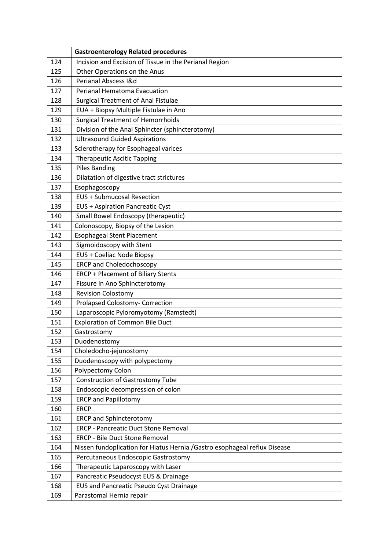| Incision and Excision of Tissue in the Perianal Region<br>124<br>Other Operations on the Anus<br>125<br>Perianal Abscess I&d<br>126<br>127<br><b>Perianal Hematoma Evacuation</b><br>128<br><b>Surgical Treatment of Anal Fistulae</b><br>EUA + Biopsy Multiple Fistulae in Ano<br>129<br><b>Surgical Treatment of Hemorrhoids</b><br>130<br>Division of the Anal Sphincter (sphincterotomy)<br>131<br><b>Ultrasound Guided Aspirations</b><br>132<br>Sclerotherapy for Esophageal varices<br>133<br>134<br><b>Therapeutic Ascitic Tapping</b><br><b>Piles Banding</b><br>135<br>136<br>Dilatation of digestive tract strictures<br>Esophagoscopy<br>137<br><b>EUS + Submucosal Resection</b><br>138<br>139<br><b>EUS + Aspiration Pancreatic Cyst</b><br>Small Bowel Endoscopy (therapeutic)<br>140<br>Colonoscopy, Biopsy of the Lesion<br>141<br><b>Esophageal Stent Placement</b><br>142<br>Sigmoidoscopy with Stent<br>143<br>EUS + Coeliac Node Biopsy<br>144<br><b>ERCP and Choledochoscopy</b><br>145<br><b>ERCP + Placement of Biliary Stents</b><br>146<br>147<br>Fissure in Ano Sphincterotomy<br><b>Revision Colostomy</b><br>148<br><b>Prolapsed Colostomy- Correction</b><br>149<br>Laparoscopic Pyloromyotomy (Ramstedt)<br>150<br><b>Exploration of Common Bile Duct</b><br>151<br>152<br>Gastrostomy<br>153<br>Duodenostomy<br>154<br>Choledocho-jejunostomy<br>155<br>Duodenoscopy with polypectomy |
|-----------------------------------------------------------------------------------------------------------------------------------------------------------------------------------------------------------------------------------------------------------------------------------------------------------------------------------------------------------------------------------------------------------------------------------------------------------------------------------------------------------------------------------------------------------------------------------------------------------------------------------------------------------------------------------------------------------------------------------------------------------------------------------------------------------------------------------------------------------------------------------------------------------------------------------------------------------------------------------------------------------------------------------------------------------------------------------------------------------------------------------------------------------------------------------------------------------------------------------------------------------------------------------------------------------------------------------------------------------------------------------------------------------------------|
|                                                                                                                                                                                                                                                                                                                                                                                                                                                                                                                                                                                                                                                                                                                                                                                                                                                                                                                                                                                                                                                                                                                                                                                                                                                                                                                                                                                                                       |
|                                                                                                                                                                                                                                                                                                                                                                                                                                                                                                                                                                                                                                                                                                                                                                                                                                                                                                                                                                                                                                                                                                                                                                                                                                                                                                                                                                                                                       |
|                                                                                                                                                                                                                                                                                                                                                                                                                                                                                                                                                                                                                                                                                                                                                                                                                                                                                                                                                                                                                                                                                                                                                                                                                                                                                                                                                                                                                       |
|                                                                                                                                                                                                                                                                                                                                                                                                                                                                                                                                                                                                                                                                                                                                                                                                                                                                                                                                                                                                                                                                                                                                                                                                                                                                                                                                                                                                                       |
|                                                                                                                                                                                                                                                                                                                                                                                                                                                                                                                                                                                                                                                                                                                                                                                                                                                                                                                                                                                                                                                                                                                                                                                                                                                                                                                                                                                                                       |
|                                                                                                                                                                                                                                                                                                                                                                                                                                                                                                                                                                                                                                                                                                                                                                                                                                                                                                                                                                                                                                                                                                                                                                                                                                                                                                                                                                                                                       |
|                                                                                                                                                                                                                                                                                                                                                                                                                                                                                                                                                                                                                                                                                                                                                                                                                                                                                                                                                                                                                                                                                                                                                                                                                                                                                                                                                                                                                       |
|                                                                                                                                                                                                                                                                                                                                                                                                                                                                                                                                                                                                                                                                                                                                                                                                                                                                                                                                                                                                                                                                                                                                                                                                                                                                                                                                                                                                                       |
|                                                                                                                                                                                                                                                                                                                                                                                                                                                                                                                                                                                                                                                                                                                                                                                                                                                                                                                                                                                                                                                                                                                                                                                                                                                                                                                                                                                                                       |
|                                                                                                                                                                                                                                                                                                                                                                                                                                                                                                                                                                                                                                                                                                                                                                                                                                                                                                                                                                                                                                                                                                                                                                                                                                                                                                                                                                                                                       |
|                                                                                                                                                                                                                                                                                                                                                                                                                                                                                                                                                                                                                                                                                                                                                                                                                                                                                                                                                                                                                                                                                                                                                                                                                                                                                                                                                                                                                       |
|                                                                                                                                                                                                                                                                                                                                                                                                                                                                                                                                                                                                                                                                                                                                                                                                                                                                                                                                                                                                                                                                                                                                                                                                                                                                                                                                                                                                                       |
|                                                                                                                                                                                                                                                                                                                                                                                                                                                                                                                                                                                                                                                                                                                                                                                                                                                                                                                                                                                                                                                                                                                                                                                                                                                                                                                                                                                                                       |
|                                                                                                                                                                                                                                                                                                                                                                                                                                                                                                                                                                                                                                                                                                                                                                                                                                                                                                                                                                                                                                                                                                                                                                                                                                                                                                                                                                                                                       |
|                                                                                                                                                                                                                                                                                                                                                                                                                                                                                                                                                                                                                                                                                                                                                                                                                                                                                                                                                                                                                                                                                                                                                                                                                                                                                                                                                                                                                       |
|                                                                                                                                                                                                                                                                                                                                                                                                                                                                                                                                                                                                                                                                                                                                                                                                                                                                                                                                                                                                                                                                                                                                                                                                                                                                                                                                                                                                                       |
|                                                                                                                                                                                                                                                                                                                                                                                                                                                                                                                                                                                                                                                                                                                                                                                                                                                                                                                                                                                                                                                                                                                                                                                                                                                                                                                                                                                                                       |
|                                                                                                                                                                                                                                                                                                                                                                                                                                                                                                                                                                                                                                                                                                                                                                                                                                                                                                                                                                                                                                                                                                                                                                                                                                                                                                                                                                                                                       |
|                                                                                                                                                                                                                                                                                                                                                                                                                                                                                                                                                                                                                                                                                                                                                                                                                                                                                                                                                                                                                                                                                                                                                                                                                                                                                                                                                                                                                       |
|                                                                                                                                                                                                                                                                                                                                                                                                                                                                                                                                                                                                                                                                                                                                                                                                                                                                                                                                                                                                                                                                                                                                                                                                                                                                                                                                                                                                                       |
|                                                                                                                                                                                                                                                                                                                                                                                                                                                                                                                                                                                                                                                                                                                                                                                                                                                                                                                                                                                                                                                                                                                                                                                                                                                                                                                                                                                                                       |
|                                                                                                                                                                                                                                                                                                                                                                                                                                                                                                                                                                                                                                                                                                                                                                                                                                                                                                                                                                                                                                                                                                                                                                                                                                                                                                                                                                                                                       |
|                                                                                                                                                                                                                                                                                                                                                                                                                                                                                                                                                                                                                                                                                                                                                                                                                                                                                                                                                                                                                                                                                                                                                                                                                                                                                                                                                                                                                       |
|                                                                                                                                                                                                                                                                                                                                                                                                                                                                                                                                                                                                                                                                                                                                                                                                                                                                                                                                                                                                                                                                                                                                                                                                                                                                                                                                                                                                                       |
|                                                                                                                                                                                                                                                                                                                                                                                                                                                                                                                                                                                                                                                                                                                                                                                                                                                                                                                                                                                                                                                                                                                                                                                                                                                                                                                                                                                                                       |
|                                                                                                                                                                                                                                                                                                                                                                                                                                                                                                                                                                                                                                                                                                                                                                                                                                                                                                                                                                                                                                                                                                                                                                                                                                                                                                                                                                                                                       |
|                                                                                                                                                                                                                                                                                                                                                                                                                                                                                                                                                                                                                                                                                                                                                                                                                                                                                                                                                                                                                                                                                                                                                                                                                                                                                                                                                                                                                       |
|                                                                                                                                                                                                                                                                                                                                                                                                                                                                                                                                                                                                                                                                                                                                                                                                                                                                                                                                                                                                                                                                                                                                                                                                                                                                                                                                                                                                                       |
|                                                                                                                                                                                                                                                                                                                                                                                                                                                                                                                                                                                                                                                                                                                                                                                                                                                                                                                                                                                                                                                                                                                                                                                                                                                                                                                                                                                                                       |
|                                                                                                                                                                                                                                                                                                                                                                                                                                                                                                                                                                                                                                                                                                                                                                                                                                                                                                                                                                                                                                                                                                                                                                                                                                                                                                                                                                                                                       |
|                                                                                                                                                                                                                                                                                                                                                                                                                                                                                                                                                                                                                                                                                                                                                                                                                                                                                                                                                                                                                                                                                                                                                                                                                                                                                                                                                                                                                       |
|                                                                                                                                                                                                                                                                                                                                                                                                                                                                                                                                                                                                                                                                                                                                                                                                                                                                                                                                                                                                                                                                                                                                                                                                                                                                                                                                                                                                                       |
| Polypectomy Colon<br>156<br>157<br><b>Construction of Gastrostomy Tube</b>                                                                                                                                                                                                                                                                                                                                                                                                                                                                                                                                                                                                                                                                                                                                                                                                                                                                                                                                                                                                                                                                                                                                                                                                                                                                                                                                            |
| 158<br>Endoscopic decompression of colon                                                                                                                                                                                                                                                                                                                                                                                                                                                                                                                                                                                                                                                                                                                                                                                                                                                                                                                                                                                                                                                                                                                                                                                                                                                                                                                                                                              |
| 159<br><b>ERCP and Papillotomy</b>                                                                                                                                                                                                                                                                                                                                                                                                                                                                                                                                                                                                                                                                                                                                                                                                                                                                                                                                                                                                                                                                                                                                                                                                                                                                                                                                                                                    |
| <b>ERCP</b><br>160                                                                                                                                                                                                                                                                                                                                                                                                                                                                                                                                                                                                                                                                                                                                                                                                                                                                                                                                                                                                                                                                                                                                                                                                                                                                                                                                                                                                    |
| 161<br><b>ERCP and Sphincterotomy</b>                                                                                                                                                                                                                                                                                                                                                                                                                                                                                                                                                                                                                                                                                                                                                                                                                                                                                                                                                                                                                                                                                                                                                                                                                                                                                                                                                                                 |
| 162<br><b>ERCP - Pancreatic Duct Stone Removal</b>                                                                                                                                                                                                                                                                                                                                                                                                                                                                                                                                                                                                                                                                                                                                                                                                                                                                                                                                                                                                                                                                                                                                                                                                                                                                                                                                                                    |
| 163<br><b>ERCP - Bile Duct Stone Removal</b>                                                                                                                                                                                                                                                                                                                                                                                                                                                                                                                                                                                                                                                                                                                                                                                                                                                                                                                                                                                                                                                                                                                                                                                                                                                                                                                                                                          |
| 164<br>Nissen fundoplication for Hiatus Hernia / Gastro esophageal reflux Disease                                                                                                                                                                                                                                                                                                                                                                                                                                                                                                                                                                                                                                                                                                                                                                                                                                                                                                                                                                                                                                                                                                                                                                                                                                                                                                                                     |
| Percutaneous Endoscopic Gastrostomy<br>165                                                                                                                                                                                                                                                                                                                                                                                                                                                                                                                                                                                                                                                                                                                                                                                                                                                                                                                                                                                                                                                                                                                                                                                                                                                                                                                                                                            |
| 166<br>Therapeutic Laparoscopy with Laser                                                                                                                                                                                                                                                                                                                                                                                                                                                                                                                                                                                                                                                                                                                                                                                                                                                                                                                                                                                                                                                                                                                                                                                                                                                                                                                                                                             |
| Pancreatic Pseudocyst EUS & Drainage<br>167                                                                                                                                                                                                                                                                                                                                                                                                                                                                                                                                                                                                                                                                                                                                                                                                                                                                                                                                                                                                                                                                                                                                                                                                                                                                                                                                                                           |
| 168<br><b>EUS and Pancreatic Pseudo Cyst Drainage</b>                                                                                                                                                                                                                                                                                                                                                                                                                                                                                                                                                                                                                                                                                                                                                                                                                                                                                                                                                                                                                                                                                                                                                                                                                                                                                                                                                                 |
| 169<br>Parastomal Hernia repair                                                                                                                                                                                                                                                                                                                                                                                                                                                                                                                                                                                                                                                                                                                                                                                                                                                                                                                                                                                                                                                                                                                                                                                                                                                                                                                                                                                       |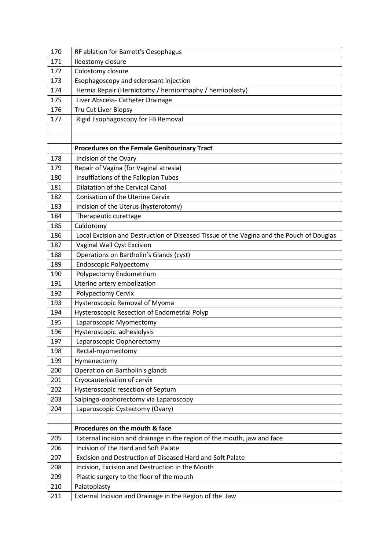| 171<br>Ileostomy closure                                                                        |  |
|-------------------------------------------------------------------------------------------------|--|
| Colostomy closure<br>172                                                                        |  |
| Esophagoscopy and sclerosant injection<br>173                                                   |  |
| Hernia Repair (Herniotomy / herniorrhaphy / hernioplasty)<br>174                                |  |
| Liver Abscess- Catheter Drainage<br>175                                                         |  |
| 176<br>Tru Cut Liver Biopsy                                                                     |  |
| Rigid Esophagoscopy for FB Removal<br>177                                                       |  |
|                                                                                                 |  |
|                                                                                                 |  |
| Procedures on the Female Genitourinary Tract                                                    |  |
| Incision of the Ovary<br>178                                                                    |  |
| Repair of Vagina (for Vaginal atresia)<br>179                                                   |  |
| Insufflations of the Fallopian Tubes<br>180                                                     |  |
| <b>Dilatation of the Cervical Canal</b><br>181                                                  |  |
| 182<br><b>Conisation of the Uterine Cervix</b>                                                  |  |
| 183<br>Incision of the Uterus (hysterotomy)                                                     |  |
| 184<br>Therapeutic curettage                                                                    |  |
| Culdotomy<br>185                                                                                |  |
| Local Excision and Destruction of Diseased Tissue of the Vagina and the Pouch of Douglas<br>186 |  |
| 187<br>Vaginal Wall Cyst Excision                                                               |  |
| Operations on Bartholin's Glands (cyst)<br>188                                                  |  |
| <b>Endoscopic Polypectomy</b><br>189                                                            |  |
| Polypectomy Endometrium<br>190                                                                  |  |
| Uterine artery embolization<br>191                                                              |  |
| 192<br>Polypectomy Cervix                                                                       |  |
| Hysteroscopic Removal of Myoma<br>193                                                           |  |
| Hysteroscopic Resection of Endometrial Polyp<br>194                                             |  |
| 195<br>Laparoscopic Myomectomy                                                                  |  |
| Hysteroscopic adhesiolysis<br>196                                                               |  |
| Laparoscopic Oophorectomy<br>197                                                                |  |
| 198<br>Rectal-myomectomy                                                                        |  |
| 199<br>Hymenectomy                                                                              |  |
| Operation on Bartholin's glands<br>200<br>201<br>Cryocauterisation of cervix                    |  |
| Hysteroscopic resection of Septum<br>202                                                        |  |
| 203<br>Salpingo-oophorectomy via Laparoscopy                                                    |  |
| 204<br>Laparoscopic Cystectomy (Ovary)                                                          |  |
|                                                                                                 |  |
| Procedures on the mouth & face                                                                  |  |
| 205<br>External incision and drainage in the region of the mouth, jaw and face                  |  |
| Incision of the Hard and Soft Palate<br>206                                                     |  |
| Excision and Destruction of Diseased Hard and Soft Palate<br>207                                |  |
| 208<br>Incision, Excision and Destruction in the Mouth                                          |  |
| 209<br>Plastic surgery to the floor of the mouth                                                |  |
| 210<br>Palatoplasty                                                                             |  |
| External Incision and Drainage in the Region of the Jaw<br>211                                  |  |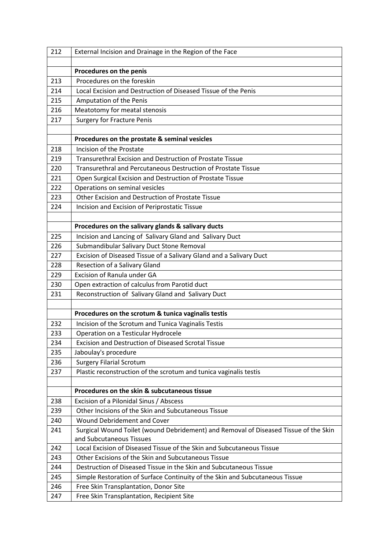| 212 | External Incision and Drainage in the Region of the Face                             |
|-----|--------------------------------------------------------------------------------------|
|     |                                                                                      |
|     | Procedures on the penis                                                              |
| 213 | Procedures on the foreskin                                                           |
| 214 | Local Excision and Destruction of Diseased Tissue of the Penis                       |
| 215 | Amputation of the Penis                                                              |
| 216 | Meatotomy for meatal stenosis                                                        |
| 217 | <b>Surgery for Fracture Penis</b>                                                    |
|     |                                                                                      |
|     | Procedures on the prostate & seminal vesicles                                        |
| 218 | Incision of the Prostate                                                             |
| 219 | Transurethral Excision and Destruction of Prostate Tissue                            |
| 220 | <b>Transurethral and Percutaneous Destruction of Prostate Tissue</b>                 |
| 221 | Open Surgical Excision and Destruction of Prostate Tissue                            |
| 222 | Operations on seminal vesicles                                                       |
| 223 | Other Excision and Destruction of Prostate Tissue                                    |
| 224 | Incision and Excision of Periprostatic Tissue                                        |
|     |                                                                                      |
|     | Procedures on the salivary glands & salivary ducts                                   |
| 225 | Incision and Lancing of Salivary Gland and Salivary Duct                             |
| 226 | Submandibular Salivary Duct Stone Removal                                            |
| 227 | Excision of Diseased Tissue of a Salivary Gland and a Salivary Duct                  |
| 228 | Resection of a Salivary Gland                                                        |
| 229 | Excision of Ranula under GA                                                          |
| 230 | Open extraction of calculus from Parotid duct                                        |
| 231 | Reconstruction of Salivary Gland and Salivary Duct                                   |
|     |                                                                                      |
|     | Procedures on the scrotum & tunica vaginalis testis                                  |
| 232 | Incision of the Scrotum and Tunica Vaginalis Testis                                  |
| 233 | Operation on a Testicular Hydrocele                                                  |
| 234 | <b>Excision and Destruction of Diseased Scrotal Tissue</b>                           |
| 235 | Jaboulay's procedure                                                                 |
| 236 | <b>Surgery Filarial Scrotum</b>                                                      |
| 237 | Plastic reconstruction of the scrotum and tunica vaginalis testis                    |
|     |                                                                                      |
|     | Procedures on the skin & subcutaneous tissue                                         |
| 238 | Excision of a Pilonidal Sinus / Abscess                                              |
| 239 | Other Incisions of the Skin and Subcutaneous Tissue                                  |
| 240 | <b>Wound Debridement and Cover</b>                                                   |
| 241 | Surgical Wound Toilet (wound Debridement) and Removal of Diseased Tissue of the Skin |
|     | and Subcutaneous Tissues                                                             |
| 242 | Local Excision of Diseased Tissue of the Skin and Subcutaneous Tissue                |
| 243 | Other Excisions of the Skin and Subcutaneous Tissue                                  |
| 244 | Destruction of Diseased Tissue in the Skin and Subcutaneous Tissue                   |
| 245 | Simple Restoration of Surface Continuity of the Skin and Subcutaneous Tissue         |
| 246 | Free Skin Transplantation, Donor Site                                                |
| 247 | Free Skin Transplantation, Recipient Site                                            |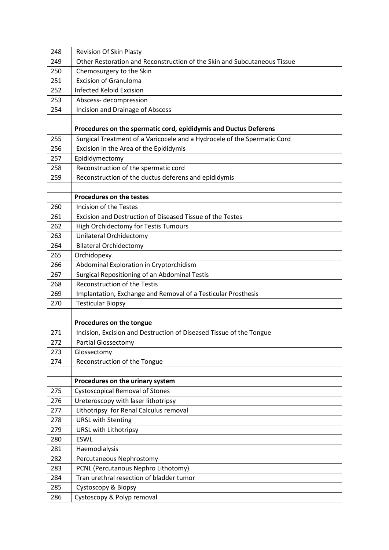| 248        | <b>Revision Of Skin Plasty</b>                                           |
|------------|--------------------------------------------------------------------------|
| 249        | Other Restoration and Reconstruction of the Skin and Subcutaneous Tissue |
| 250        | Chemosurgery to the Skin                                                 |
| 251        | <b>Excision of Granuloma</b>                                             |
| 252        | <b>Infected Keloid Excision</b>                                          |
| 253        | Abscess-decompression                                                    |
| 254        | <b>Incision and Drainage of Abscess</b>                                  |
|            |                                                                          |
|            | Procedures on the spermatic cord, epididymis and Ductus Deferens         |
| 255        | Surgical Treatment of a Varicocele and a Hydrocele of the Spermatic Cord |
| 256        | Excision in the Area of the Epididymis                                   |
| 257        | Epididymectomy                                                           |
| 258        | Reconstruction of the spermatic cord                                     |
| 259        | Reconstruction of the ductus deferens and epididymis                     |
|            |                                                                          |
|            | <b>Procedures on the testes</b>                                          |
| 260        | Incision of the Testes                                                   |
| 261        | Excision and Destruction of Diseased Tissue of the Testes                |
| 262        | <b>High Orchidectomy for Testis Tumours</b>                              |
| 263        | <b>Unilateral Orchidectomy</b>                                           |
| 264        | <b>Bilateral Orchidectomy</b>                                            |
| 265        | Orchidopexy                                                              |
| 266        | Abdominal Exploration in Cryptorchidism                                  |
| 267        | Surgical Repositioning of an Abdominal Testis                            |
| 268        | <b>Reconstruction of the Testis</b>                                      |
| 269        | Implantation, Exchange and Removal of a Testicular Prosthesis            |
| 270        | <b>Testicular Biopsy</b>                                                 |
|            |                                                                          |
|            | Procedures on the tongue                                                 |
| 271        | Incision, Excision and Destruction of Diseased Tissue of the Tongue      |
| 272        | <b>Partial Glossectomy</b>                                               |
| 273        | Glossectomy                                                              |
| 274        | Reconstruction of the Tongue                                             |
|            |                                                                          |
|            | Procedures on the urinary system                                         |
| 275        |                                                                          |
|            | <b>Cystoscopical Removal of Stones</b>                                   |
| 276        | Ureteroscopy with laser lithotripsy                                      |
| 277        | Lithotripsy for Renal Calculus removal                                   |
| 278        | <b>URSL with Stenting</b>                                                |
| 279        | URSL with Lithotripsy                                                    |
| 280        | <b>ESWL</b>                                                              |
| 281        | Haemodialysis                                                            |
| 282        | Percutaneous Nephrostomy                                                 |
| 283        | PCNL (Percutanous Nephro Lithotomy)                                      |
| 284        | Tran urethral resection of bladder tumor                                 |
| 285<br>286 | Cystoscopy & Biopsy<br>Cystoscopy & Polyp removal                        |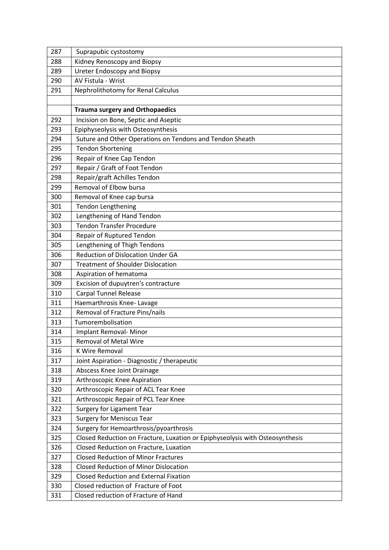| 287 | Suprapubic cystostomy                                                        |
|-----|------------------------------------------------------------------------------|
| 288 | Kidney Renoscopy and Biopsy                                                  |
| 289 | <b>Ureter Endoscopy and Biopsy</b>                                           |
| 290 | AV Fistula - Wrist                                                           |
| 291 | Nephrolithotomy for Renal Calculus                                           |
|     |                                                                              |
|     | <b>Trauma surgery and Orthopaedics</b>                                       |
| 292 | Incision on Bone, Septic and Aseptic                                         |
| 293 | Epiphyseolysis with Osteosynthesis                                           |
| 294 | Suture and Other Operations on Tendons and Tendon Sheath                     |
| 295 | <b>Tendon Shortening</b>                                                     |
| 296 | Repair of Knee Cap Tendon                                                    |
| 297 | Repair / Graft of Foot Tendon                                                |
| 298 | Repair/graft Achilles Tendon                                                 |
| 299 | Removal of Elbow bursa                                                       |
| 300 | Removal of Knee cap bursa                                                    |
| 301 | <b>Tendon Lengthening</b>                                                    |
| 302 | Lengthening of Hand Tendon                                                   |
| 303 | <b>Tendon Transfer Procedure</b>                                             |
| 304 | Repair of Ruptured Tendon                                                    |
| 305 | Lengthening of Thigh Tendons                                                 |
| 306 | <b>Reduction of Dislocation Under GA</b>                                     |
| 307 | <b>Treatment of Shoulder Dislocation</b>                                     |
| 308 | Aspiration of hematoma                                                       |
| 309 | Excision of dupuytren's contracture                                          |
| 310 | <b>Carpal Tunnel Release</b>                                                 |
| 311 | Haemarthrosis Knee-Lavage                                                    |
| 312 | Removal of Fracture Pins/nails                                               |
| 313 | Tumorembolisation                                                            |
| 314 | Implant Removal- Minor                                                       |
| 315 | <b>Removal of Metal Wire</b>                                                 |
| 316 | K Wire Removal                                                               |
| 317 | Joint Aspiration - Diagnostic / therapeutic                                  |
| 318 | Abscess Knee Joint Drainage                                                  |
| 319 | Arthroscopic Knee Aspiration                                                 |
| 320 | Arthroscopic Repair of ACL Tear Knee                                         |
| 321 | Arthroscopic Repair of PCL Tear Knee                                         |
| 322 | <b>Surgery for Ligament Tear</b>                                             |
| 323 | <b>Surgery for Meniscus Tear</b>                                             |
| 324 | Surgery for Hemoarthrosis/pyoarthrosis                                       |
| 325 | Closed Reduction on Fracture, Luxation or Epiphyseolysis with Osteosynthesis |
| 326 | Closed Reduction on Fracture, Luxation                                       |
| 327 | <b>Closed Reduction of Minor Fractures</b>                                   |
| 328 | <b>Closed Reduction of Minor Dislocation</b>                                 |
| 329 | <b>Closed Reduction and External Fixation</b>                                |
| 330 | Closed reduction of Fracture of Foot                                         |
| 331 | Closed reduction of Fracture of Hand                                         |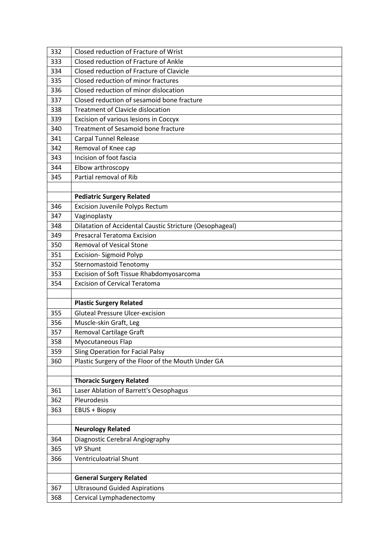| 332 | Closed reduction of Fracture of Wrist                       |
|-----|-------------------------------------------------------------|
| 333 | Closed reduction of Fracture of Ankle                       |
| 334 | Closed reduction of Fracture of Clavicle                    |
| 335 | Closed reduction of minor fractures                         |
| 336 | Closed reduction of minor dislocation                       |
| 337 | Closed reduction of sesamoid bone fracture                  |
| 338 | <b>Treatment of Clavicle dislocation</b>                    |
| 339 | Excision of various lesions in Coccyx                       |
| 340 | Treatment of Sesamoid bone fracture                         |
| 341 | <b>Carpal Tunnel Release</b>                                |
| 342 | Removal of Knee cap                                         |
| 343 | Incision of foot fascia                                     |
| 344 | Elbow arthroscopy                                           |
| 345 | Partial removal of Rib                                      |
|     |                                                             |
|     | <b>Pediatric Surgery Related</b>                            |
| 346 | <b>Excision Juvenile Polyps Rectum</b>                      |
| 347 | Vaginoplasty                                                |
| 348 | Dilatation of Accidental Caustic Stricture (Oesophageal)    |
| 349 | <b>Presacral Teratoma Excision</b>                          |
| 350 | <b>Removal of Vesical Stone</b>                             |
| 351 | Excision-Sigmoid Polyp                                      |
| 352 | <b>Sternomastoid Tenotomy</b>                               |
| 353 | Excision of Soft Tissue Rhabdomyosarcoma                    |
|     |                                                             |
| 354 | <b>Excision of Cervical Teratoma</b>                        |
|     |                                                             |
|     | <b>Plastic Surgery Related</b>                              |
| 355 | <b>Gluteal Pressure Ulcer-excision</b>                      |
| 356 | Muscle-skin Graft, Leg                                      |
| 357 | Removal Cartilage Graft                                     |
| 358 | Myocutaneous Flap                                           |
| 359 | Sling Operation for Facial Palsy                            |
| 360 | Plastic Surgery of the Floor of the Mouth Under GA          |
|     |                                                             |
|     | <b>Thoracic Surgery Related</b>                             |
| 361 | Laser Ablation of Barrett's Oesophagus                      |
| 362 | Pleurodesis                                                 |
| 363 | <b>EBUS + Biopsy</b>                                        |
|     |                                                             |
| 364 | <b>Neurology Related</b><br>Diagnostic Cerebral Angiography |
| 365 | <b>VP Shunt</b>                                             |
| 366 | <b>Ventriculoatrial Shunt</b>                               |
|     |                                                             |
|     | <b>General Surgery Related</b>                              |
| 367 | <b>Ultrasound Guided Aspirations</b>                        |